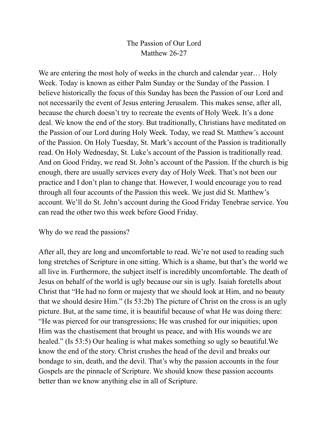## The Passion of Our Lord Matthew 26-27

We are entering the most holy of weeks in the church and calendar year... Holy Week. Today is known as either Palm Sunday or the Sunday of the Passion. I believe historically the focus of this Sunday has been the Passion of our Lord and not necessarily the event of Jesus entering Jerusalem. This makes sense, after all, because the church doesn't try to recreate the events of Holy Week. It's a done deal. We know the end of the story. But traditionally, Christians have meditated on the Passion of our Lord during Holy Week. Today, we read St. Matthew's account of the Passion. On Holy Tuesday, St. Mark's account of the Passion is traditionally read. On Holy Wednesday, St. Luke's account of the Passion is traditionally read. And on Good Friday, we read St. John's account of the Passion. If the church is big enough, there are usually services every day of Holy Week. That's not been our practice and I don't plan to change that. However, I would encourage you to read through all four accounts of the Passion this week. We just did St. Matthew's account. We'll do St. John's account during the Good Friday Tenebrae service. You can read the other two this week before Good Friday.

## Why do we read the passions?

After all, they are long and uncomfortable to read. We're not used to reading such long stretches of Scripture in one sitting. Which is a shame, but that's the world we all live in. Furthermore, the subject itself is incredibly uncomfortable. The death of Jesus on behalf of the world is ugly because our sin is ugly. Isaiah foretells about Christ that "He had no form or majesty that we should look at Him, and no beauty that we should desire Him." (Is 53:2b) The picture of Christ on the cross is an ugly picture. But, at the same time, it is beautiful because of what He was doing there: "He was pierced for our transgressions; He was crushed for our iniquities; upon Him was the chastisement that brought us peace, and with His wounds we are healed." (Is 53:5) Our healing is what makes something so ugly so beautiful. We know the end of the story. Christ crushes the head of the devil and breaks our bondage to sin, death, and the devil. That's why the passion accounts in the four Gospels are the pinnacle of Scripture. We should know these passion accounts better than we know anything else in all of Scripture.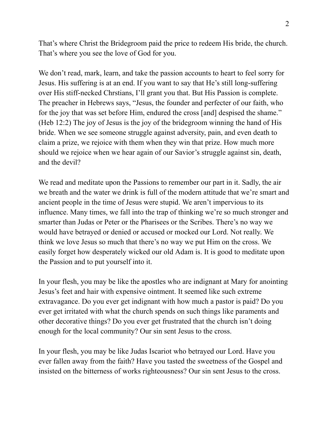That's where Christ the Bridegroom paid the price to redeem His bride, the church. That's where you see the love of God for you.

We don't read, mark, learn, and take the passion accounts to heart to feel sorry for Jesus. His suffering is at an end. If you want to say that He's still long-suffering over His stiff-necked Chrstians, I'll grant you that. But His Passion is complete. The preacher in Hebrews says, "Jesus, the founder and perfecter of our faith, who for the joy that was set before Him, endured the cross [and] despised the shame." (Heb 12:2) The joy of Jesus is the joy of the bridegroom winning the hand of His bride. When we see someone struggle against adversity, pain, and even death to claim a prize, we rejoice with them when they win that prize. How much more should we rejoice when we hear again of our Savior's struggle against sin, death, and the devil?

We read and meditate upon the Passions to remember our part in it. Sadly, the air we breath and the water we drink is full of the modern attitude that we're smart and ancient people in the time of Jesus were stupid. We aren't impervious to its influence. Many times, we fall into the trap of thinking we're so much stronger and smarter than Judas or Peter or the Pharisees or the Scribes. There's no way we would have betrayed or denied or accused or mocked our Lord. Not really. We think we love Jesus so much that there's no way we put Him on the cross. We easily forget how desperately wicked our old Adam is. It is good to meditate upon the Passion and to put yourself into it.

In your flesh, you may be like the apostles who are indignant at Mary for anointing Jesus's feet and hair with expensive ointment. It seemed like such extreme extravagance. Do you ever get indignant with how much a pastor is paid? Do you ever get irritated with what the church spends on such things like paraments and other decorative things? Do you ever get frustrated that the church isn't doing enough for the local community? Our sin sent Jesus to the cross.

In your flesh, you may be like Judas Iscariot who betrayed our Lord. Have you ever fallen away from the faith? Have you tasted the sweetness of the Gospel and insisted on the bitterness of works righteousness? Our sin sent Jesus to the cross.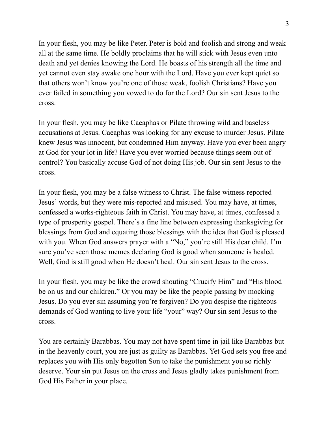In your flesh, you may be like Peter. Peter is bold and foolish and strong and weak all at the same time. He boldly proclaims that he will stick with Jesus even unto death and yet denies knowing the Lord. He boasts of his strength all the time and yet cannot even stay awake one hour with the Lord. Have you ever kept quiet so that others won't know you're one of those weak, foolish Christians? Have you ever failed in something you vowed to do for the Lord? Our sin sent Jesus to the cross.

In your flesh, you may be like Caeaphas or Pilate throwing wild and baseless accusations at Jesus. Caeaphas was looking for any excuse to murder Jesus. Pilate knew Jesus was innocent, but condemned Him anyway. Have you ever been angry at God for your lot in life? Have you ever worried because things seem out of control? You basically accuse God of not doing His job. Our sin sent Jesus to the cross.

In your flesh, you may be a false witness to Christ. The false witness reported Jesus' words, but they were mis-reported and misused. You may have, at times, confessed a works-righteous faith in Christ. You may have, at times, confessed a type of prosperity gospel. There's a fine line between expressing thanksgiving for blessings from God and equating those blessings with the idea that God is pleased with you. When God answers prayer with a "No," you're still His dear child. I'm sure you've seen those memes declaring God is good when someone is healed. Well, God is still good when He doesn't heal. Our sin sent Jesus to the cross.

In your flesh, you may be like the crowd shouting "Crucify Him" and "His blood be on us and our children." Or you may be like the people passing by mocking Jesus. Do you ever sin assuming you're forgiven? Do you despise the righteous demands of God wanting to live your life "your" way? Our sin sent Jesus to the cross.

You are certainly Barabbas. You may not have spent time in jail like Barabbas but in the heavenly court, you are just as guilty as Barabbas. Yet God sets you free and replaces you with His only begotten Son to take the punishment you so richly deserve. Your sin put Jesus on the cross and Jesus gladly takes punishment from God His Father in your place.